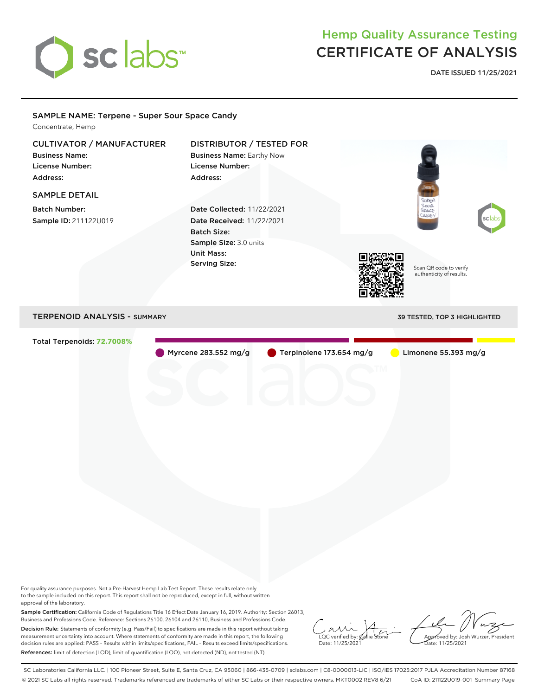

## Hemp Quality Assurance Testing CERTIFICATE OF ANALYSIS

**DATE ISSUED 11/25/2021**

## Scan QR code to verify authenticity of results. SAMPLE NAME: Terpene - Super Sour Space Candy Concentrate, Hemp CULTIVATOR / MANUFACTURER Business Name: License Number: Address: DISTRIBUTOR / TESTED FOR Business Name: Earthy Now License Number: Address: SAMPLE DETAIL Batch Number: Sample ID: 211122U019 Date Collected: 11/22/2021 Date Received: 11/22/2021 Batch Size: Sample Size: 3.0 units Unit Mass: Serving Size: TERPENOID ANALYSIS - SUMMARY 39 TESTED, TOP 3 HIGHLIGHTED Total Terpenoids: **72.7008%** Myrcene 283.552 mg/g **C** Terpinolene 173.654 mg/g Limonene 55.393 mg/g

For quality assurance purposes. Not a Pre-Harvest Hemp Lab Test Report. These results relate only to the sample included on this report. This report shall not be reproduced, except in full, without written approval of the laboratory.

Sample Certification: California Code of Regulations Title 16 Effect Date January 16, 2019. Authority: Section 26013, Business and Professions Code. Reference: Sections 26100, 26104 and 26110, Business and Professions Code. Decision Rule: Statements of conformity (e.g. Pass/Fail) to specifications are made in this report without taking measurement uncertainty into account. Where statements of conformity are made in this report, the following decision rules are applied: PASS – Results within limits/specifications, FAIL – Results exceed limits/specifications. References: limit of detection (LOD), limit of quantification (LOQ), not detected (ND), not tested (NT)

 $\overline{\text{LOC}}$  verified by:  $\mathcal C$ Date: 11/25/2021

Approved by: Josh Wurzer, President ate: 11/25/2021

SC Laboratories California LLC. | 100 Pioneer Street, Suite E, Santa Cruz, CA 95060 | 866-435-0709 | sclabs.com | C8-0000013-LIC | ISO/IES 17025:2017 PJLA Accreditation Number 87168 © 2021 SC Labs all rights reserved. Trademarks referenced are trademarks of either SC Labs or their respective owners. MKT0002 REV8 6/21 CoA ID: 211122U019-001 Summary Page